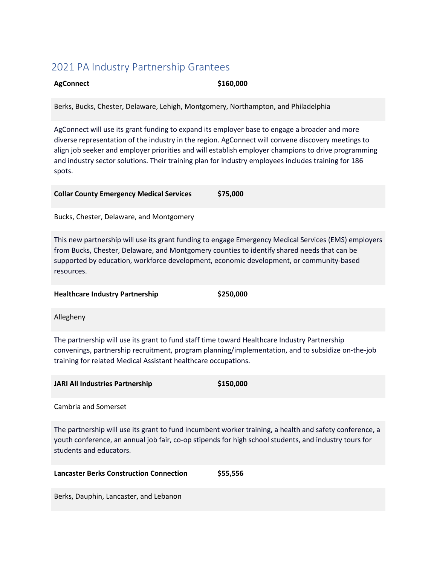# 2021 PA Industry Partnership Grantees

# **AgConnect \$160,000**

Berks, Bucks, Chester, Delaware, Lehigh, Montgomery, Northampton, and Philadelphia

AgConnect will use its grant funding to expand its employer base to engage a broader and more diverse representation of the industry in the region. AgConnect will convene discovery meetings to align job seeker and employer priorities and will establish employer champions to drive programming and industry sector solutions. Their training plan for industry employees includes training for 186 spots.

**Collar County Emergency Medical Services \$75,000**

Bucks, Chester, Delaware, and Montgomery

This new partnership will use its grant funding to engage Emergency Medical Services (EMS) employers from Bucks, Chester, Delaware, and Montgomery counties to identify shared needs that can be supported by education, workforce development, economic development, or community-based resources.

**Healthcare Industry Partnership \$250,000** 

Allegheny

The partnership will use its grant to fund staff time toward Healthcare Industry Partnership convenings, partnership recruitment, program planning/implementation, and to subsidize on-the-job training for related Medical Assistant healthcare occupations.

**JARI All Industries Partnership \$150,000**

Cambria and Somerset

The partnership will use its grant to fund incumbent worker training, a health and safety conference, a youth conference, an annual job fair, co-op stipends for high school students, and industry tours for students and educators.

| <b>Lancaster Berks Construction Connection</b> | \$55,556 |
|------------------------------------------------|----------|
|------------------------------------------------|----------|

Berks, Dauphin, Lancaster, and Lebanon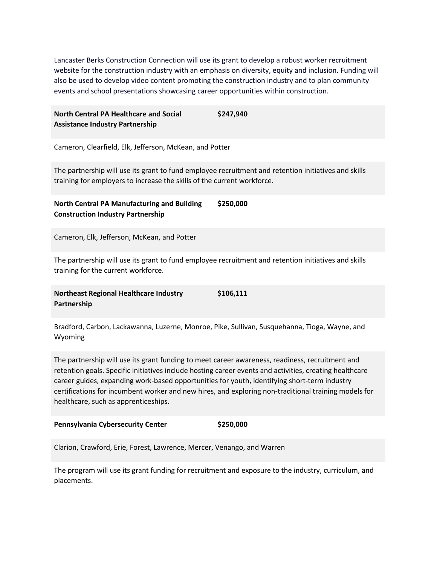Lancaster Berks Construction Connection will use its grant to develop a robust worker recruitment website for the construction industry with an emphasis on diversity, equity and inclusion. Funding will also be used to develop video content promoting the construction industry and to plan community events and school presentations showcasing career opportunities within construction.

| <b>North Central PA Healthcare and Social</b> | \$247,940 |
|-----------------------------------------------|-----------|
| <b>Assistance Industry Partnership</b>        |           |

Cameron, Clearfield, Elk, Jefferson, McKean, and Potter

The partnership will use its grant to fund employee recruitment and retention initiatives and skills training for employers to increase the skills of the current workforce.

**North Central PA Manufacturing and Building Construction Industry Partnership \$250,000**

Cameron, Elk, Jefferson, McKean, and Potter

The partnership will use its grant to fund employee recruitment and retention initiatives and skills training for the current workforce.

**Northeast Regional Healthcare Industry Partnership \$106,111**

Bradford, Carbon, Lackawanna, Luzerne, Monroe, Pike, Sullivan, Susquehanna, Tioga, Wayne, and Wyoming

The partnership will use its grant funding to meet career awareness, readiness, recruitment and retention goals. Specific initiatives include hosting career events and activities, creating healthcare career guides, expanding work-based opportunities for youth, identifying short-term industry certifications for incumbent worker and new hires, and exploring non-traditional training models for healthcare, such as apprenticeships.

| <b>Pennsylvania Cybersecurity Center</b> |  | \$250,000 |
|------------------------------------------|--|-----------|
|------------------------------------------|--|-----------|

Clarion, Crawford, Erie, Forest, Lawrence, Mercer, Venango, and Warren

The program will use its grant funding for recruitment and exposure to the industry, curriculum, and placements.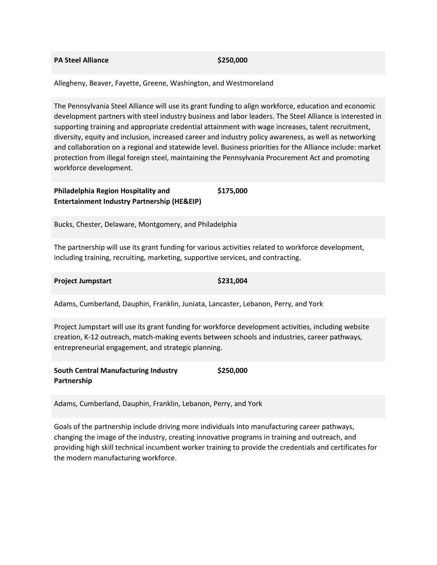## **PA Steel Alliance \$250,000**

Allegheny, Beaver, Fayette, Greene, Washington, and Westmoreland

The Pennsylvania Steel Alliance will use its grant funding to align workforce, education and economic development partners with steel industry business and labor leaders. The Steel Alliance is interested in supporting training and appropriate credential attainment with wage increases, talent recruitment, diversity, equity and inclusion, increased career and industry policy awareness, as well as networking and collaboration on a regional and statewide level. Business priorities for the Alliance include: market protection from illegal foreign steel, maintaining the Pennsylvania Procurement Act and promoting workforce development.

#### **Philadelphia Region Hospitality and Entertainment Industry Partnership (HE&EIP) \$175,000**

Bucks, Chester, Delaware, Montgomery, and Philadelphia

The partnership will use its grant funding for various activities related to workforce development, including training, recruiting, marketing, supportive services, and contracting.

### **Project Jumpstart \$231,004**

Adams, Cumberland, Dauphin, Franklin, Juniata, Lancaster, Lebanon, Perry, and York

Project Jumpstart will use its grant funding for workforce development activities, including website creation, K-12 outreach, match-making events between schools and industries, career pathways, entrepreneurial engagement, and strategic planning.

**South Central Manufacturing Industry Partnership \$250,000**

Adams, Cumberland, Dauphin, Franklin, Lebanon, Perry, and York

Goals of the partnership include driving more individuals into manufacturing career pathways, changing the image of the industry, creating innovative programs in training and outreach, and providing high skill technical incumbent worker training to provide the credentials and certificates for the modern manufacturing workforce.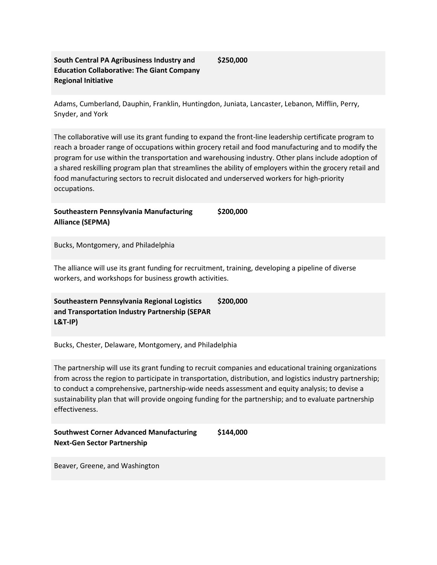# **South Central PA Agribusiness Industry and Education Collaborative: The Giant Company Regional Initiative**

**\$250,000**

Adams, Cumberland, Dauphin, Franklin, Huntingdon, Juniata, Lancaster, Lebanon, Mifflin, Perry, Snyder, and York

The collaborative will use its grant funding to expand the front-line leadership certificate program to reach a broader range of occupations within grocery retail and food manufacturing and to modify the program for use within the transportation and warehousing industry. Other plans include adoption of a shared reskilling program plan that streamlines the ability of employers within the grocery retail and food manufacturing sectors to recruit dislocated and underserved workers for high-priority occupations.

**Southeastern Pennsylvania Manufacturing Alliance (SEPMA)**

**\$200,000**

Bucks, Montgomery, and Philadelphia

The alliance will use its grant funding for recruitment, training, developing a pipeline of diverse workers, and workshops for business growth activities.

**Southeastern Pennsylvania Regional Logistics and Transportation Industry Partnership (SEPAR L&T-IP) \$200,000**

Bucks, Chester, Delaware, Montgomery, and Philadelphia

The partnership will use its grant funding to recruit companies and educational training organizations from across the region to participate in transportation, distribution, and logistics industry partnership; to conduct a comprehensive, partnership-wide needs assessment and equity analysis; to devise a sustainability plan that will provide ongoing funding for the partnership; and to evaluate partnership effectiveness.

| <b>Southwest Corner Advanced Manufacturing</b> | \$144,000 |
|------------------------------------------------|-----------|
| <b>Next-Gen Sector Partnership</b>             |           |

Beaver, Greene, and Washington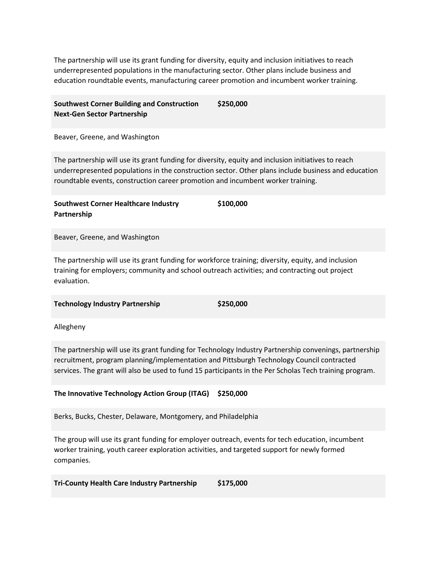The partnership will use its grant funding for diversity, equity and inclusion initiatives to reach underrepresented populations in the manufacturing sector. Other plans include business and education roundtable events, manufacturing career promotion and incumbent worker training.

#### **Southwest Corner Building and Construction Next-Gen Sector Partnership \$250,000**

Beaver, Greene, and Washington

The partnership will use its grant funding for diversity, equity and inclusion initiatives to reach underrepresented populations in the construction sector. Other plans include business and education roundtable events, construction career promotion and incumbent worker training.

**Southwest Corner Healthcare Industry Partnership \$100,000**

Beaver, Greene, and Washington

The partnership will use its grant funding for workforce training; diversity, equity, and inclusion training for employers; community and school outreach activities; and contracting out project evaluation.

**Technology Industry Partnership \$250,000** 

Allegheny

The partnership will use its grant funding for Technology Industry Partnership convenings, partnership recruitment, program planning/implementation and Pittsburgh Technology Council contracted services. The grant will also be used to fund 15 participants in the Per Scholas Tech training program.

# **The Innovative Technology Action Group (ITAG) \$250,000**

Berks, Bucks, Chester, Delaware, Montgomery, and Philadelphia

The group will use its grant funding for employer outreach, events for tech education, incumbent worker training, youth career exploration activities, and targeted support for newly formed companies.

**Tri-County Health Care Industry Partnership \$175,000**